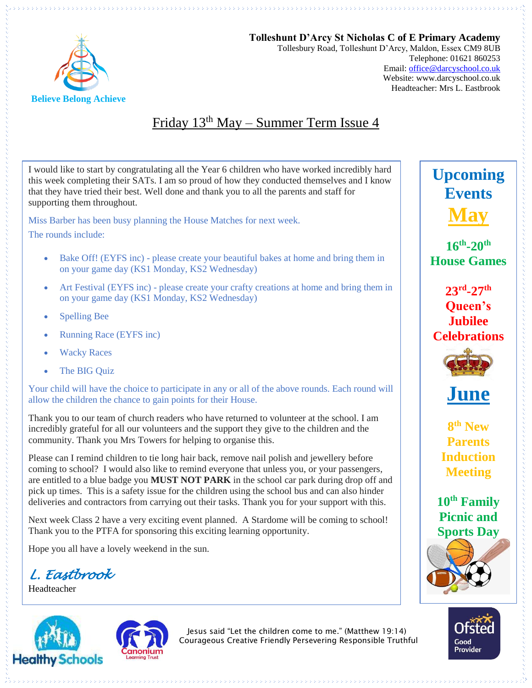

**Tolleshunt D'Arcy St Nicholas C of E Primary Academy** Tollesbury Road, Tolleshunt D'Arcy, Maldon, Essex CM9 8UB Telephone: 01621 860253 Email[: office@darcyschool.co.uk](mailto:office@darcyschool.co.uk) Website: www.darcyschool.co.uk Headteacher: Mrs L. Eastbrook

## Friday 13th May – Summer Term Issue 4

I would like to start by congratulating all the Year 6 children who have worked incredibly hard this week completing their SATs. I am so proud of how they conducted themselves and I know that they have tried their best. Well done and thank you to all the parents and staff for supporting them throughout.

Miss Barber has been busy planning the House Matches for next week.

The rounds include:

- Bake Off! (EYFS inc) please create your beautiful bakes at home and bring them in on your game day (KS1 Monday, KS2 Wednesday)
- Art Festival (EYFS inc) please create your crafty creations at home and bring them in on your game day (KS1 Monday, KS2 Wednesday)
- Spelling Bee
- Running Race (EYFS inc)
- Wacky Races
- The BIG Quiz

Your child will have the choice to participate in any or all of the above rounds. Each round will allow the children the chance to gain points for their House.

Thank you to our team of church readers who have returned to volunteer at the school. I am incredibly grateful for all our volunteers and the support they give to the children and the community. Thank you Mrs Towers for helping to organise this.

Please can I remind children to tie long hair back, remove nail polish and jewellery before coming to school? I would also like to remind everyone that unless you, or your passengers, are entitled to a blue badge you **MUST NOT PARK** in the school car park during drop off and pick up times. This is a safety issue for the children using the school bus and can also hinder deliveries and contractors from carrying out their tasks. Thank you for your support with this.

Next week Class 2 have a very exciting event planned. A Stardome will be coming to school! Thank you to the PTFA for sponsoring this exciting learning opportunity.

Hope you all have a lovely weekend in the sun.

*L. Eastbrook* 

Headteacher





Jesus said "Let the children come to me." (Matthew 19:14) Courageous Creative Friendly Persevering Responsible Truthful

**Events May 16th -20th House Games**

**Upcoming** 

**23rd -27th Queen's Jubilee Celebrations**





**8 th New Parents Induction Meeting**

**10th Family Picnic and Sports Day**